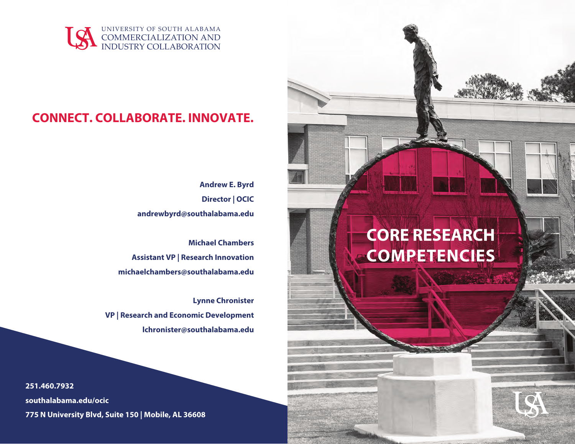

## **CONNECT. COLLABORATE. INNOVATE.**

**Andrew E. Byrd Director | OCIC andrewbyrd@southalabama.edu**

**Michael Chambers Assistant VP | Research Innovation michaelchambers@southalabama.edu**

**Lynne Chronister VP | Research and Economic Development lchronister@southalabama.edu**

**251.460.7932 southalabama.edu/ocic 775 N University Blvd, Suite 150 | Mobile, AL 36608**

# **CORE RESEARCH COMPETENCIES**